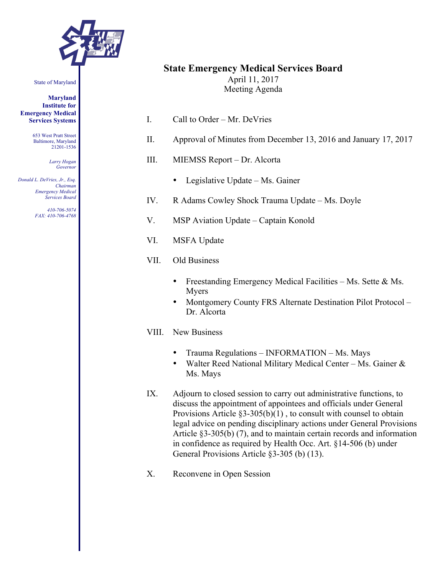

#### State of Maryland

**Maryland Institute for Emergency Medical Services Systems**

> 653 West Pratt Street Baltimore, Maryland 21201-1536

> > *Larry Hogan Governor*

*Donald L. DeVries, Jr., Esq. Chairman Emergency Medical Services Board*

> *410-706-5074 FAX: 410-706-4768*

# **State Emergency Medical Services Board**

April 11, 2017 Meeting Agenda

- I. Call to Order Mr. DeVries
- II. Approval of Minutes from December 13, 2016 and January 17, 2017
- III. MIEMSS Report Dr. Alcorta
	- Legislative Update Ms. Gainer
- IV. R Adams Cowley Shock Trauma Update Ms. Doyle
- V. MSP Aviation Update Captain Konold
- VI. MSFA Update
- VII. Old Business
	- Freestanding Emergency Medical Facilities Ms. Sette & Ms. Myers
	- Montgomery County FRS Alternate Destination Pilot Protocol Dr. Alcorta

# VIII. New Business

- Trauma Regulations INFORMATION Ms. Mays
- Walter Reed National Military Medical Center Ms. Gainer & Ms. Mays
- IX. Adjourn to closed session to carry out administrative functions, to discuss the appointment of appointees and officials under General Provisions Article  $\S3-305(b)(1)$ , to consult with counsel to obtain legal advice on pending disciplinary actions under General Provisions Article §3-305(b) (7), and to maintain certain records and information in confidence as required by Health Occ. Art. §14-506 (b) under General Provisions Article §3-305 (b) (13).
- X. Reconvene in Open Session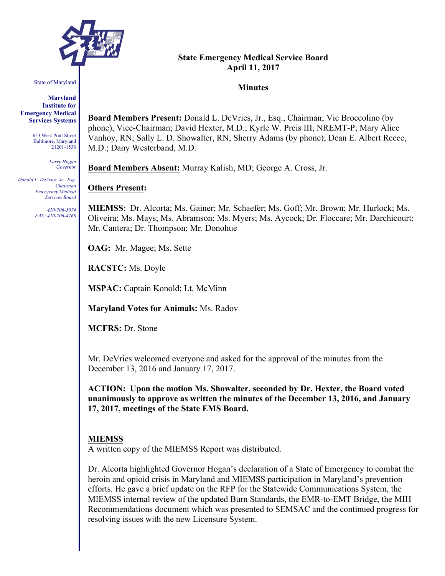

State of Maryland

**Maryland Institute for Emergency Medical Services Systems**

> 653 West Pratt Street Baltimore, Maryland 21201-1536

> > *Larry Hogan Governor*

*Donald L. DeVries, Jr., Esq. Chairman Emergency Medical Services Board*

> *410-706-5074 FAX: 410-706-4768*

# **State Emergency Medical Service Board April 11, 2017**

## **Minutes**

**Board Members Present:** Donald L. DeVries, Jr., Esq., Chairman; Vic Broccolino (by phone), Vice-Chairman; David Hexter, M.D.; Kyrle W. Preis III, NREMT-P; Mary Alice Vanhoy, RN; Sally L. D. Showalter, RN; Sherry Adams (by phone); Dean E. Albert Reece, M.D.; Dany Westerband, M.D.

**Board Members Absent:** Murray Kalish, MD; George A. Cross, Jr.

# **Others Present:**

**MIEMSS**: Dr. Alcorta; Ms. Gainer; Mr. Schaefer; Ms. Goff; Mr. Brown; Mr. Hurlock; Ms. Oliveira; Ms. Mays; Ms. Abramson; Ms. Myers; Ms. Aycock; Dr. Floccare; Mr. Darchicourt; Mr. Cantera; Dr. Thompson; Mr. Donohue

**OAG:** Mr. Magee; Ms. Sette

**RACSTC:** Ms. Doyle

**MSPAC:** Captain Konold; Lt. McMinn

**Maryland Votes for Animals:** Ms. Radov

**MCFRS:** Dr. Stone

Mr. DeVries welcomed everyone and asked for the approval of the minutes from the December 13, 2016 and January 17, 2017.

**ACTION: Upon the motion Ms. Showalter, seconded by Dr. Hexter, the Board voted unanimously to approve as written the minutes of the December 13, 2016, and January 17, 2017, meetings of the State EMS Board.**

## **MIEMSS**

A written copy of the MIEMSS Report was distributed.

Dr. Alcorta highlighted Governor Hogan's declaration of a State of Emergency to combat the heroin and opioid crisis in Maryland and MIEMSS participation in Maryland's prevention efforts. He gave a brief update on the RFP for the Statewide Communications System, the MIEMSS internal review of the updated Burn Standards, the EMR-to-EMT Bridge, the MIH Recommendations document which was presented to SEMSAC and the continued progress for resolving issues with the new Licensure System.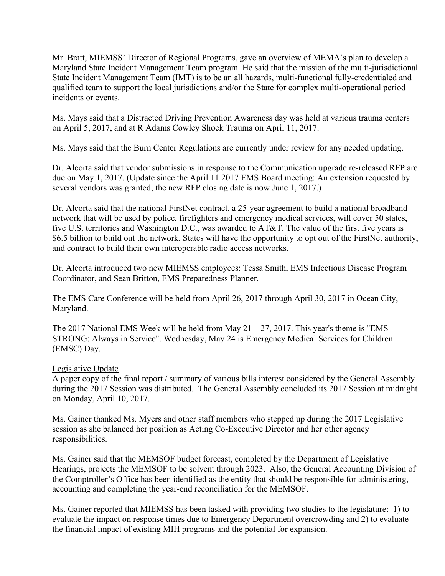Mr. Bratt, MIEMSS' Director of Regional Programs, gave an overview of MEMA's plan to develop a Maryland State Incident Management Team program. He said that the mission of the multi-jurisdictional State Incident Management Team (IMT) is to be an all hazards, multi-functional fully-credentialed and qualified team to support the local jurisdictions and/or the State for complex multi-operational period incidents or events.

Ms. Mays said that a Distracted Driving Prevention Awareness day was held at various trauma centers on April 5, 2017, and at R Adams Cowley Shock Trauma on April 11, 2017.

Ms. Mays said that the Burn Center Regulations are currently under review for any needed updating.

Dr. Alcorta said that vendor submissions in response to the Communication upgrade re-released RFP are due on May 1, 2017. (Update since the April 11 2017 EMS Board meeting: An extension requested by several vendors was granted; the new RFP closing date is now June 1, 2017.)

Dr. Alcorta said that the national FirstNet contract, a 25-year agreement to build a national broadband network that will be used by police, firefighters and emergency medical services, will cover 50 states, five U.S. territories and Washington D.C., was awarded to AT&T. The value of the first five years is \$6.5 billion to build out the network. States will have the opportunity to opt out of the FirstNet authority, and contract to build their own interoperable radio access networks.

Dr. Alcorta introduced two new MIEMSS employees: Tessa Smith, EMS Infectious Disease Program Coordinator, and Sean Britton, EMS Preparedness Planner.

The EMS Care Conference will be held from April 26, 2017 through April 30, 2017 in Ocean City, Maryland.

The 2017 National EMS Week will be held from May  $21 - 27$ , 2017. This year's theme is "EMS" STRONG: Always in Service". Wednesday, May 24 is Emergency Medical Services for Children (EMSC) Day.

## Legislative Update

A paper copy of the final report / summary of various bills interest considered by the General Assembly during the 2017 Session was distributed. The General Assembly concluded its 2017 Session at midnight on Monday, April 10, 2017.

Ms. Gainer thanked Ms. Myers and other staff members who stepped up during the 2017 Legislative session as she balanced her position as Acting Co-Executive Director and her other agency responsibilities.

Ms. Gainer said that the MEMSOF budget forecast, completed by the Department of Legislative Hearings, projects the MEMSOF to be solvent through 2023. Also, the General Accounting Division of the Comptroller's Office has been identified as the entity that should be responsible for administering, accounting and completing the year-end reconciliation for the MEMSOF.

Ms. Gainer reported that MIEMSS has been tasked with providing two studies to the legislature: 1) to evaluate the impact on response times due to Emergency Department overcrowding and 2) to evaluate the financial impact of existing MIH programs and the potential for expansion.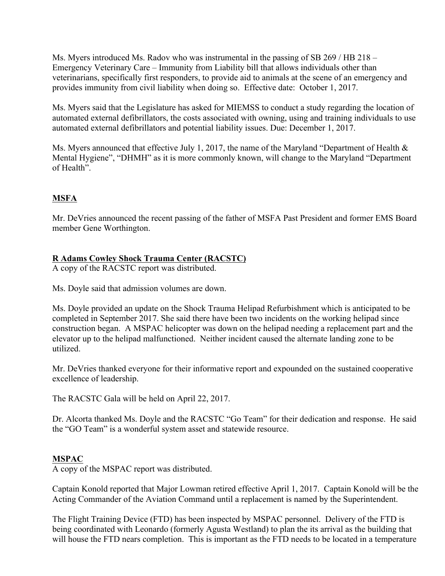Ms. Myers introduced Ms. Radov who was instrumental in the passing of SB 269 / HB 218 – Emergency Veterinary Care – Immunity from Liability bill that allows individuals other than veterinarians, specifically first responders, to provide aid to animals at the scene of an emergency and provides immunity from civil liability when doing so. Effective date: October 1, 2017.

Ms. Myers said that the Legislature has asked for MIEMSS to conduct a study regarding the location of automated external defibrillators, the costs associated with owning, using and training individuals to use automated external defibrillators and potential liability issues. Due: December 1, 2017.

Ms. Myers announced that effective July 1, 2017, the name of the Maryland "Department of Health & Mental Hygiene", "DHMH" as it is more commonly known, will change to the Maryland "Department of Health".

# **MSFA**

Mr. DeVries announced the recent passing of the father of MSFA Past President and former EMS Board member Gene Worthington.

# **R Adams Cowley Shock Trauma Center (RACSTC)**

A copy of the RACSTC report was distributed.

Ms. Doyle said that admission volumes are down.

Ms. Doyle provided an update on the Shock Trauma Helipad Refurbishment which is anticipated to be completed in September 2017. She said there have been two incidents on the working helipad since construction began. A MSPAC helicopter was down on the helipad needing a replacement part and the elevator up to the helipad malfunctioned. Neither incident caused the alternate landing zone to be utilized.

Mr. DeVries thanked everyone for their informative report and expounded on the sustained cooperative excellence of leadership.

The RACSTC Gala will be held on April 22, 2017.

Dr. Alcorta thanked Ms. Doyle and the RACSTC "Go Team" for their dedication and response. He said the "GO Team" is a wonderful system asset and statewide resource.

# **MSPAC**

A copy of the MSPAC report was distributed.

Captain Konold reported that Major Lowman retired effective April 1, 2017. Captain Konold will be the Acting Commander of the Aviation Command until a replacement is named by the Superintendent.

The Flight Training Device (FTD) has been inspected by MSPAC personnel. Delivery of the FTD is being coordinated with Leonardo (formerly Agusta Westland) to plan the its arrival as the building that will house the FTD nears completion. This is important as the FTD needs to be located in a temperature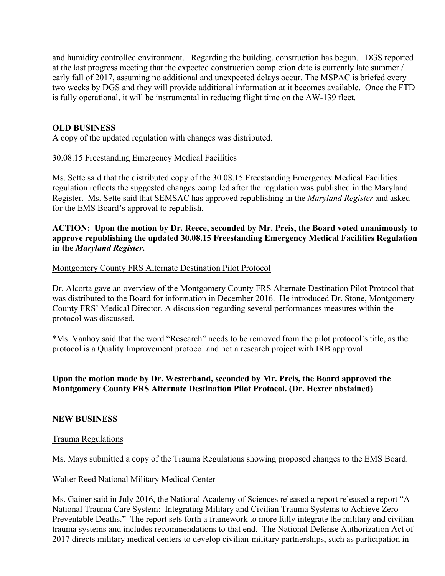and humidity controlled environment. Regarding the building, construction has begun. DGS reported at the last progress meeting that the expected construction completion date is currently late summer / early fall of 2017, assuming no additional and unexpected delays occur. The MSPAC is briefed every two weeks by DGS and they will provide additional information at it becomes available. Once the FTD is fully operational, it will be instrumental in reducing flight time on the AW-139 fleet.

# **OLD BUSINESS**

A copy of the updated regulation with changes was distributed.

# 30.08.15 Freestanding Emergency Medical Facilities

Ms. Sette said that the distributed copy of the 30.08.15 Freestanding Emergency Medical Facilities regulation reflects the suggested changes compiled after the regulation was published in the Maryland Register. Ms. Sette said that SEMSAC has approved republishing in the *Maryland Register* and asked for the EMS Board's approval to republish.

# **ACTION: Upon the motion by Dr. Reece, seconded by Mr. Preis, the Board voted unanimously to approve republishing the updated 30.08.15 Freestanding Emergency Medical Facilities Regulation in the** *Maryland Register***.**

## Montgomery County FRS Alternate Destination Pilot Protocol

Dr. Alcorta gave an overview of the Montgomery County FRS Alternate Destination Pilot Protocol that was distributed to the Board for information in December 2016. He introduced Dr. Stone, Montgomery County FRS' Medical Director. A discussion regarding several performances measures within the protocol was discussed.

\*Ms. Vanhoy said that the word "Research" needs to be removed from the pilot protocol's title, as the protocol is a Quality Improvement protocol and not a research project with IRB approval.

# **Upon the motion made by Dr. Westerband, seconded by Mr. Preis, the Board approved the Montgomery County FRS Alternate Destination Pilot Protocol. (Dr. Hexter abstained)**

## **NEW BUSINESS**

## Trauma Regulations

Ms. Mays submitted a copy of the Trauma Regulations showing proposed changes to the EMS Board.

## Walter Reed National Military Medical Center

Ms. Gainer said in July 2016, the National Academy of Sciences released a report released a report "A National Trauma Care System: Integrating Military and Civilian Trauma Systems to Achieve Zero Preventable Deaths." The report sets forth a framework to more fully integrate the military and civilian trauma systems and includes recommendations to that end. The National Defense Authorization Act of 2017 directs military medical centers to develop civilian-military partnerships, such as participation in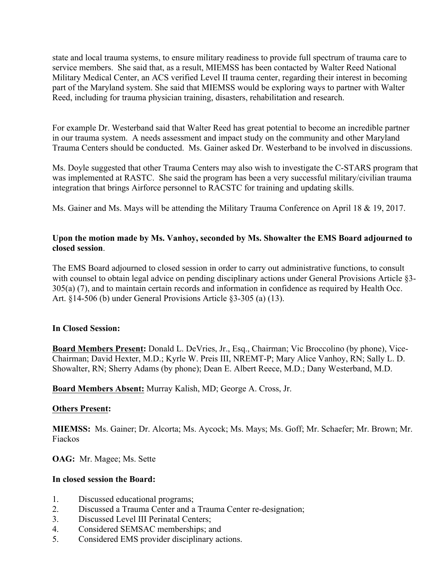state and local trauma systems, to ensure military readiness to provide full spectrum of trauma care to service members. She said that, as a result, MIEMSS has been contacted by Walter Reed National Military Medical Center, an ACS verified Level II trauma center, regarding their interest in becoming part of the Maryland system. She said that MIEMSS would be exploring ways to partner with Walter Reed, including for trauma physician training, disasters, rehabilitation and research.

For example Dr. Westerband said that Walter Reed has great potential to become an incredible partner in our trauma system. A needs assessment and impact study on the community and other Maryland Trauma Centers should be conducted. Ms. Gainer asked Dr. Westerband to be involved in discussions.

Ms. Doyle suggested that other Trauma Centers may also wish to investigate the C-STARS program that was implemented at RASTC. She said the program has been a very successful military/civilian trauma integration that brings Airforce personnel to RACSTC for training and updating skills.

Ms. Gainer and Ms. Mays will be attending the Military Trauma Conference on April 18 & 19, 2017.

# **Upon the motion made by Ms. Vanhoy, seconded by Ms. Showalter the EMS Board adjourned to closed session**.

The EMS Board adjourned to closed session in order to carry out administrative functions, to consult with counsel to obtain legal advice on pending disciplinary actions under General Provisions Article §3-305(a) (7), and to maintain certain records and information in confidence as required by Health Occ. Art. §14-506 (b) under General Provisions Article §3-305 (a) (13).

# **In Closed Session:**

**Board Members Present:** Donald L. DeVries, Jr., Esq., Chairman; Vic Broccolino (by phone), Vice-Chairman; David Hexter, M.D.; Kyrle W. Preis III, NREMT-P; Mary Alice Vanhoy, RN; Sally L. D. Showalter, RN; Sherry Adams (by phone); Dean E. Albert Reece, M.D.; Dany Westerband, M.D.

**Board Members Absent:** Murray Kalish, MD; George A. Cross, Jr.

## **Others Present:**

**MIEMSS:** Ms. Gainer; Dr. Alcorta; Ms. Aycock; Ms. Mays; Ms. Goff; Mr. Schaefer; Mr. Brown; Mr. Fiackos

**OAG:** Mr. Magee; Ms. Sette

## **In closed session the Board:**

- 1. Discussed educational programs;
- 2. Discussed a Trauma Center and a Trauma Center re-designation;
- 3. Discussed Level III Perinatal Centers;
- 4. Considered SEMSAC memberships; and
- 5. Considered EMS provider disciplinary actions.